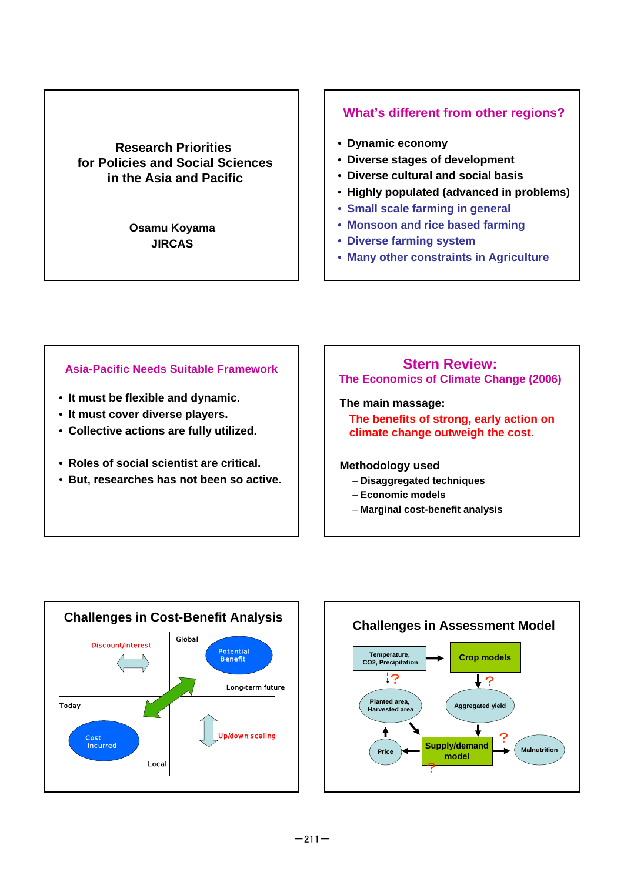### **Research Priorities for Policies and Social Sciences in the Asia and Pacific**

**Osamu Koyama JIRCAS**

### **What's different from other regions?**

- **Dynamic economy**
- **Diverse stages of development**
- **Diverse cultural and social basis**
- **Highly populated (advanced in problems)**
- **Small scale farming in general**
- **Monsoon and rice based farming**
- **Diverse farming system**
- **Many other constraints in Agriculture**

#### **Asia-Pacific Needs Suitable Framework**

- **It must be flexible and dynamic.**
- **It must cover diverse players.**
- **Collective actions are fully utilized.**
- **Roles of social scientist are critical.**
- **But, researches has not been so active.**